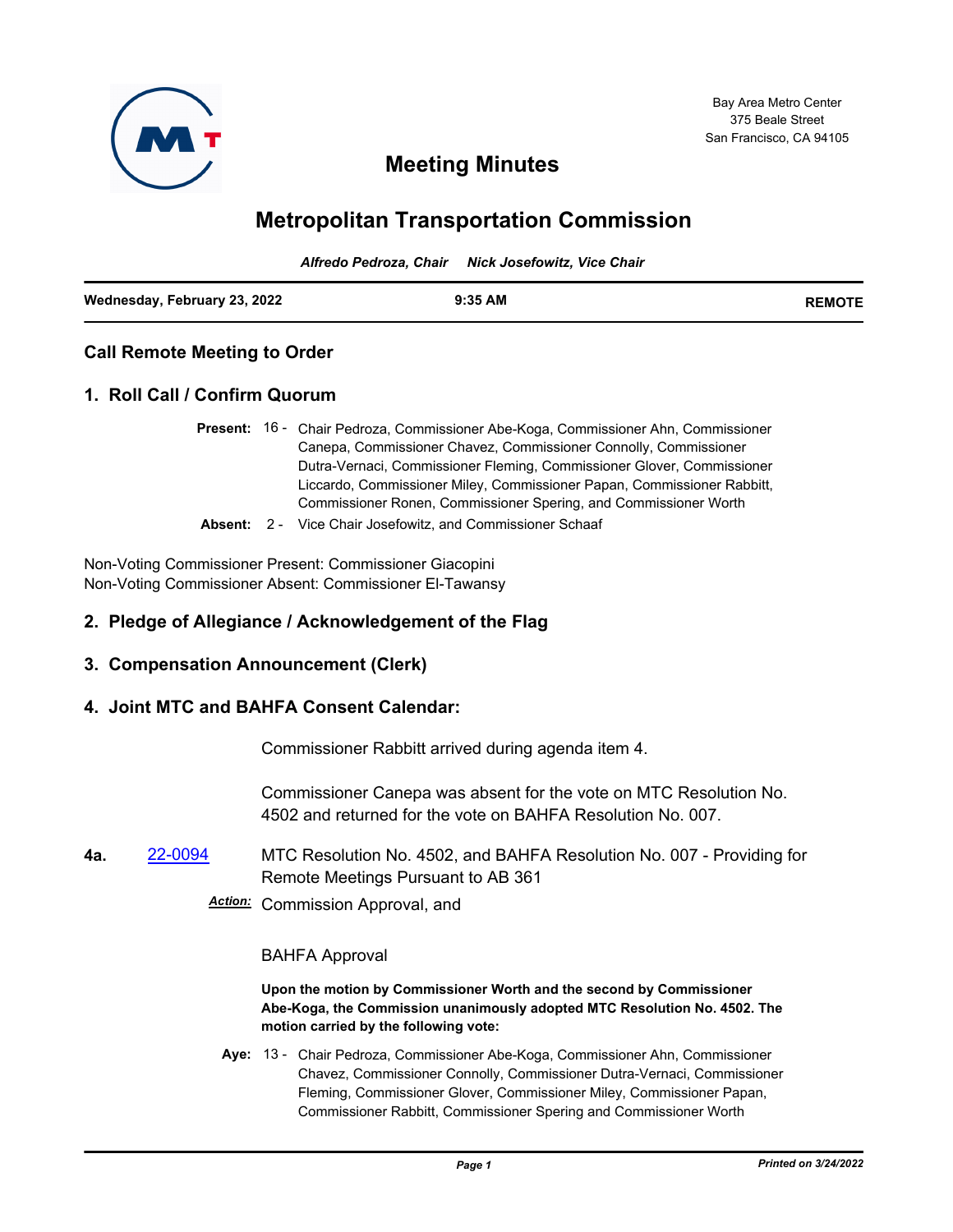

# **Meeting Minutes**

# **Metropolitan Transportation Commission**

*Alfredo Pedroza, Chair Nick Josefowitz, Vice Chair*

| Wednesday, February 23, 2022 | $9:35$ AM | <b>REMOTF</b> |
|------------------------------|-----------|---------------|
|                              |           |               |

# **Call Remote Meeting to Order**

# **1. Roll Call / Confirm Quorum**

- Present: 16 Chair Pedroza, Commissioner Abe-Koga, Commissioner Ahn, Commissioner Canepa, Commissioner Chavez, Commissioner Connolly, Commissioner Dutra-Vernaci, Commissioner Fleming, Commissioner Glover, Commissioner Liccardo, Commissioner Miley, Commissioner Papan, Commissioner Rabbitt, Commissioner Ronen, Commissioner Spering, and Commissioner Worth
- **Absent:** 2 Vice Chair Josefowitz, and Commissioner Schaaf

Non-Voting Commissioner Present: Commissioner Giacopini Non-Voting Commissioner Absent: Commissioner El-Tawansy

# **2. Pledge of Allegiance / Acknowledgement of the Flag**

## **3. Compensation Announcement (Clerk)**

# **4. Joint MTC and BAHFA Consent Calendar:**

Commissioner Rabbitt arrived during agenda item 4.

Commissioner Canepa was absent for the vote on MTC Resolution No. 4502 and returned for the vote on BAHFA Resolution No. 007.

**4a.** [22-0094](http://mtc.legistar.com/gateway.aspx?m=l&id=/matter.aspx?key=23353) MTC Resolution No. 4502, and BAHFA Resolution No. 007 - Providing for Remote Meetings Pursuant to AB 361

*Action:* Commission Approval, and

#### BAHFA Approval

**Upon the motion by Commissioner Worth and the second by Commissioner Abe-Koga, the Commission unanimously adopted MTC Resolution No. 4502. The motion carried by the following vote:**

Aye: 13 - Chair Pedroza, Commissioner Abe-Koga, Commissioner Ahn, Commissioner Chavez, Commissioner Connolly, Commissioner Dutra-Vernaci, Commissioner Fleming, Commissioner Glover, Commissioner Miley, Commissioner Papan, Commissioner Rabbitt, Commissioner Spering and Commissioner Worth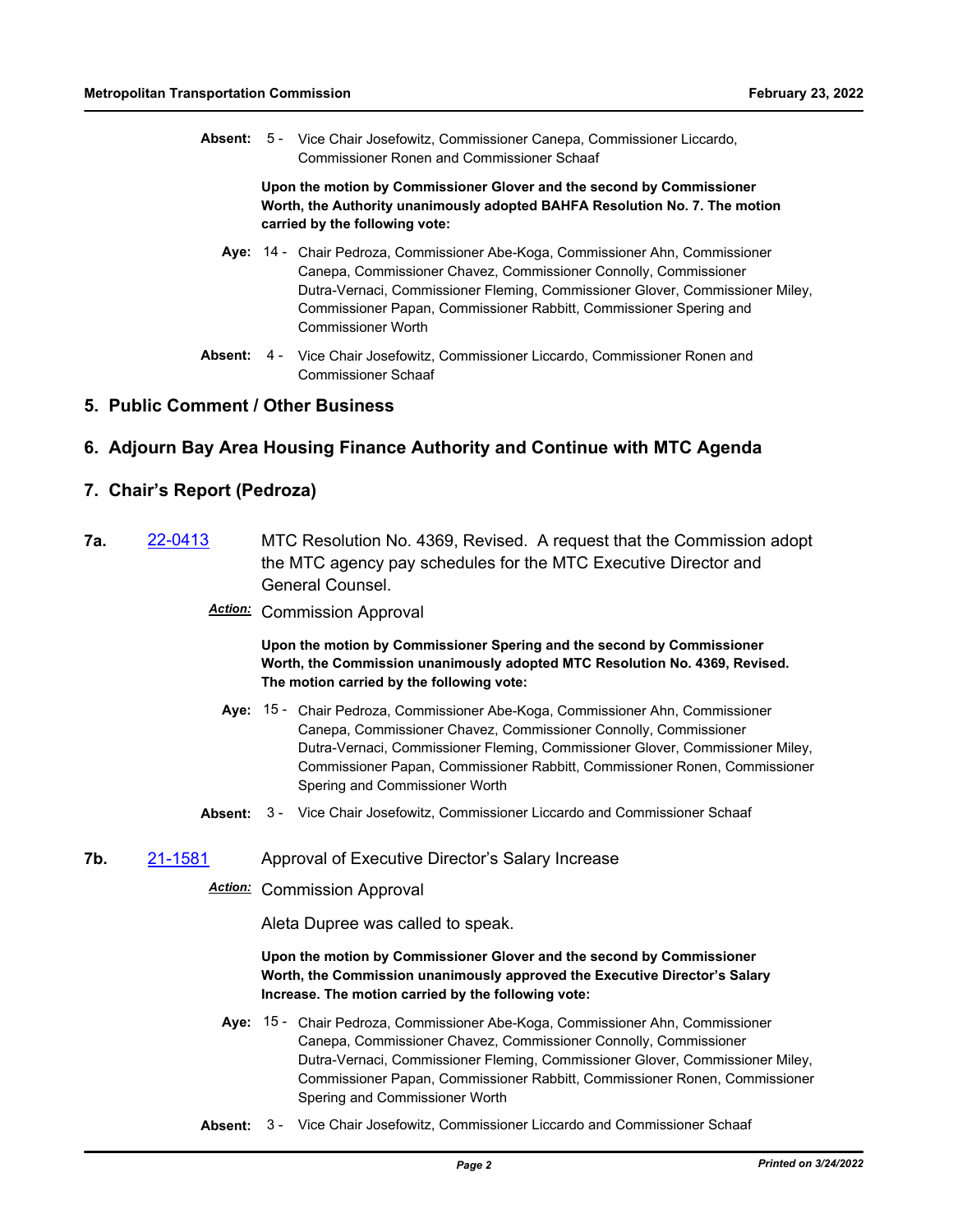Absent: 5 - Vice Chair Josefowitz, Commissioner Canepa, Commissioner Liccardo, Commissioner Ronen and Commissioner Schaaf

> **Upon the motion by Commissioner Glover and the second by Commissioner Worth, the Authority unanimously adopted BAHFA Resolution No. 7. The motion carried by the following vote:**

- Aye: 14 Chair Pedroza, Commissioner Abe-Koga, Commissioner Ahn, Commissioner Canepa, Commissioner Chavez, Commissioner Connolly, Commissioner Dutra-Vernaci, Commissioner Fleming, Commissioner Glover, Commissioner Miley, Commissioner Papan, Commissioner Rabbitt, Commissioner Spering and Commissioner Worth
- Absent: 4 Vice Chair Josefowitz, Commissioner Liccardo, Commissioner Ronen and Commissioner Schaaf

## **5. Public Comment / Other Business**

## **6. Adjourn Bay Area Housing Finance Authority and Continue with MTC Agenda**

### **7. Chair's Report (Pedroza)**

- **7a.** [22-0413](http://mtc.legistar.com/gateway.aspx?m=l&id=/matter.aspx?key=23672) MTC Resolution No. 4369, Revised. A request that the Commission adopt the MTC agency pay schedules for the MTC Executive Director and General Counsel.
	- *Action:* Commission Approval

**Upon the motion by Commissioner Spering and the second by Commissioner Worth, the Commission unanimously adopted MTC Resolution No. 4369, Revised. The motion carried by the following vote:**

- Aye: 15 Chair Pedroza, Commissioner Abe-Koga, Commissioner Ahn, Commissioner Canepa, Commissioner Chavez, Commissioner Connolly, Commissioner Dutra-Vernaci, Commissioner Fleming, Commissioner Glover, Commissioner Miley, Commissioner Papan, Commissioner Rabbitt, Commissioner Ronen, Commissioner Spering and Commissioner Worth
- **Absent:** 3 Vice Chair Josefowitz, Commissioner Liccardo and Commissioner Schaaf
- **7b.** [21-1581](http://mtc.legistar.com/gateway.aspx?m=l&id=/matter.aspx?key=23174) Approval of Executive Director's Salary Increase

# *Action:* Commission Approval

Aleta Dupree was called to speak.

#### **Upon the motion by Commissioner Glover and the second by Commissioner Worth, the Commission unanimously approved the Executive Director's Salary Increase. The motion carried by the following vote:**

- Aye: 15 Chair Pedroza, Commissioner Abe-Koga, Commissioner Ahn, Commissioner Canepa, Commissioner Chavez, Commissioner Connolly, Commissioner Dutra-Vernaci, Commissioner Fleming, Commissioner Glover, Commissioner Miley, Commissioner Papan, Commissioner Rabbitt, Commissioner Ronen, Commissioner Spering and Commissioner Worth
- **Absent:** 3 Vice Chair Josefowitz, Commissioner Liccardo and Commissioner Schaaf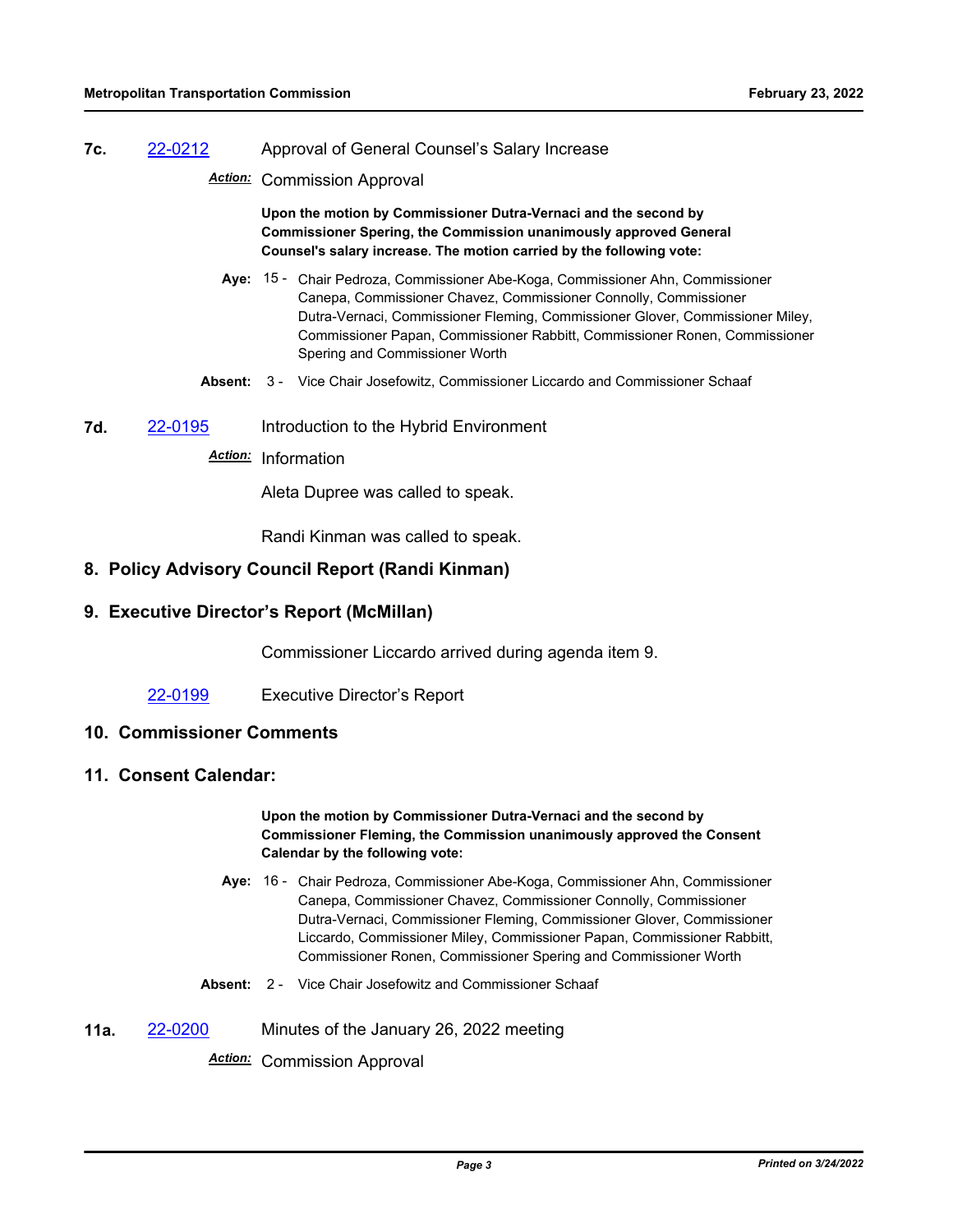#### **7c.** [22-0212](http://mtc.legistar.com/gateway.aspx?m=l&id=/matter.aspx?key=23471) Approval of General Counsel's Salary Increase

*Action:* Commission Approval

**Upon the motion by Commissioner Dutra-Vernaci and the second by Commissioner Spering, the Commission unanimously approved General Counsel's salary increase. The motion carried by the following vote:**

- Aye: 15 Chair Pedroza, Commissioner Abe-Koga, Commissioner Ahn, Commissioner Canepa, Commissioner Chavez, Commissioner Connolly, Commissioner Dutra-Vernaci, Commissioner Fleming, Commissioner Glover, Commissioner Miley, Commissioner Papan, Commissioner Rabbitt, Commissioner Ronen, Commissioner Spering and Commissioner Worth
- **Absent:** 3 Vice Chair Josefowitz, Commissioner Liccardo and Commissioner Schaaf
- **7d.** [22-0195](http://mtc.legistar.com/gateway.aspx?m=l&id=/matter.aspx?key=23454) Introduction to the Hybrid Environment

# *Action:* Information

Aleta Dupree was called to speak.

Randi Kinman was called to speak.

# **8. Policy Advisory Council Report (Randi Kinman)**

# **9. Executive Director's Report (McMillan)**

Commissioner Liccardo arrived during agenda item 9.

[22-0199](http://mtc.legistar.com/gateway.aspx?m=l&id=/matter.aspx?key=23458) Executive Director's Report

## **10. Commissioner Comments**

## **11. Consent Calendar:**

#### **Upon the motion by Commissioner Dutra-Vernaci and the second by Commissioner Fleming, the Commission unanimously approved the Consent Calendar by the following vote:**

- Aye: 16 Chair Pedroza, Commissioner Abe-Koga, Commissioner Ahn, Commissioner Canepa, Commissioner Chavez, Commissioner Connolly, Commissioner Dutra-Vernaci, Commissioner Fleming, Commissioner Glover, Commissioner Liccardo, Commissioner Miley, Commissioner Papan, Commissioner Rabbitt, Commissioner Ronen, Commissioner Spering and Commissioner Worth
- **Absent:** 2 Vice Chair Josefowitz and Commissioner Schaaf
- **11a.** [22-0200](http://mtc.legistar.com/gateway.aspx?m=l&id=/matter.aspx?key=23459) Minutes of the January 26, 2022 meeting

*Action:* Commission Approval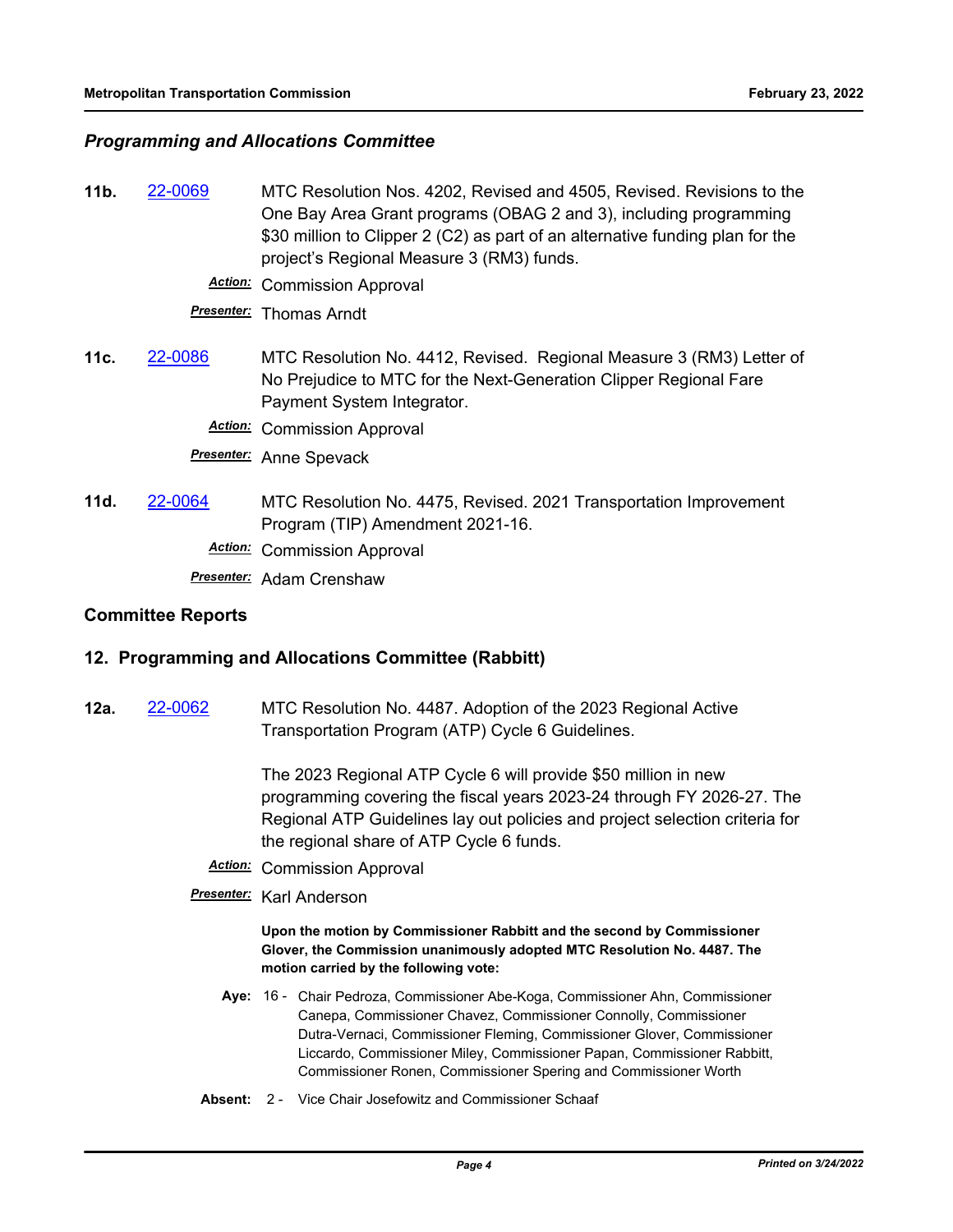# *Programming and Allocations Committee*

- **11b.** [22-0069](http://mtc.legistar.com/gateway.aspx?m=l&id=/matter.aspx?key=23328) MTC Resolution Nos. 4202, Revised and 4505, Revised. Revisions to the One Bay Area Grant programs (OBAG 2 and 3), including programming \$30 million to Clipper 2 (C2) as part of an alternative funding plan for the project's Regional Measure 3 (RM3) funds.
	- *Action:* Commission Approval

*Presenter:* Thomas Arndt

**11c.** [22-0086](http://mtc.legistar.com/gateway.aspx?m=l&id=/matter.aspx?key=23345) MTC Resolution No. 4412, Revised. Regional Measure 3 (RM3) Letter of No Prejudice to MTC for the Next-Generation Clipper Regional Fare Payment System Integrator.

*Action:* Commission Approval

*Presenter:* Anne Spevack

**11d.** [22-0064](http://mtc.legistar.com/gateway.aspx?m=l&id=/matter.aspx?key=23323) MTC Resolution No. 4475, Revised. 2021 Transportation Improvement Program (TIP) Amendment 2021-16.

*Action:* Commission Approval

*Presenter:* Adam Crenshaw

## **Committee Reports**

## **12. Programming and Allocations Committee (Rabbitt)**

**12a.** [22-0062](http://mtc.legistar.com/gateway.aspx?m=l&id=/matter.aspx?key=23321) MTC Resolution No. 4487. Adoption of the 2023 Regional Active Transportation Program (ATP) Cycle 6 Guidelines.

> The 2023 Regional ATP Cycle 6 will provide \$50 million in new programming covering the fiscal years 2023-24 through FY 2026-27. The Regional ATP Guidelines lay out policies and project selection criteria for the regional share of ATP Cycle 6 funds.

- *Action:* Commission Approval
- *Presenter:* Karl Anderson

**Upon the motion by Commissioner Rabbitt and the second by Commissioner Glover, the Commission unanimously adopted MTC Resolution No. 4487. The motion carried by the following vote:**

- Aye: 16 Chair Pedroza, Commissioner Abe-Koga, Commissioner Ahn, Commissioner Canepa, Commissioner Chavez, Commissioner Connolly, Commissioner Dutra-Vernaci, Commissioner Fleming, Commissioner Glover, Commissioner Liccardo, Commissioner Miley, Commissioner Papan, Commissioner Rabbitt, Commissioner Ronen, Commissioner Spering and Commissioner Worth
- **Absent:** 2 Vice Chair Josefowitz and Commissioner Schaaf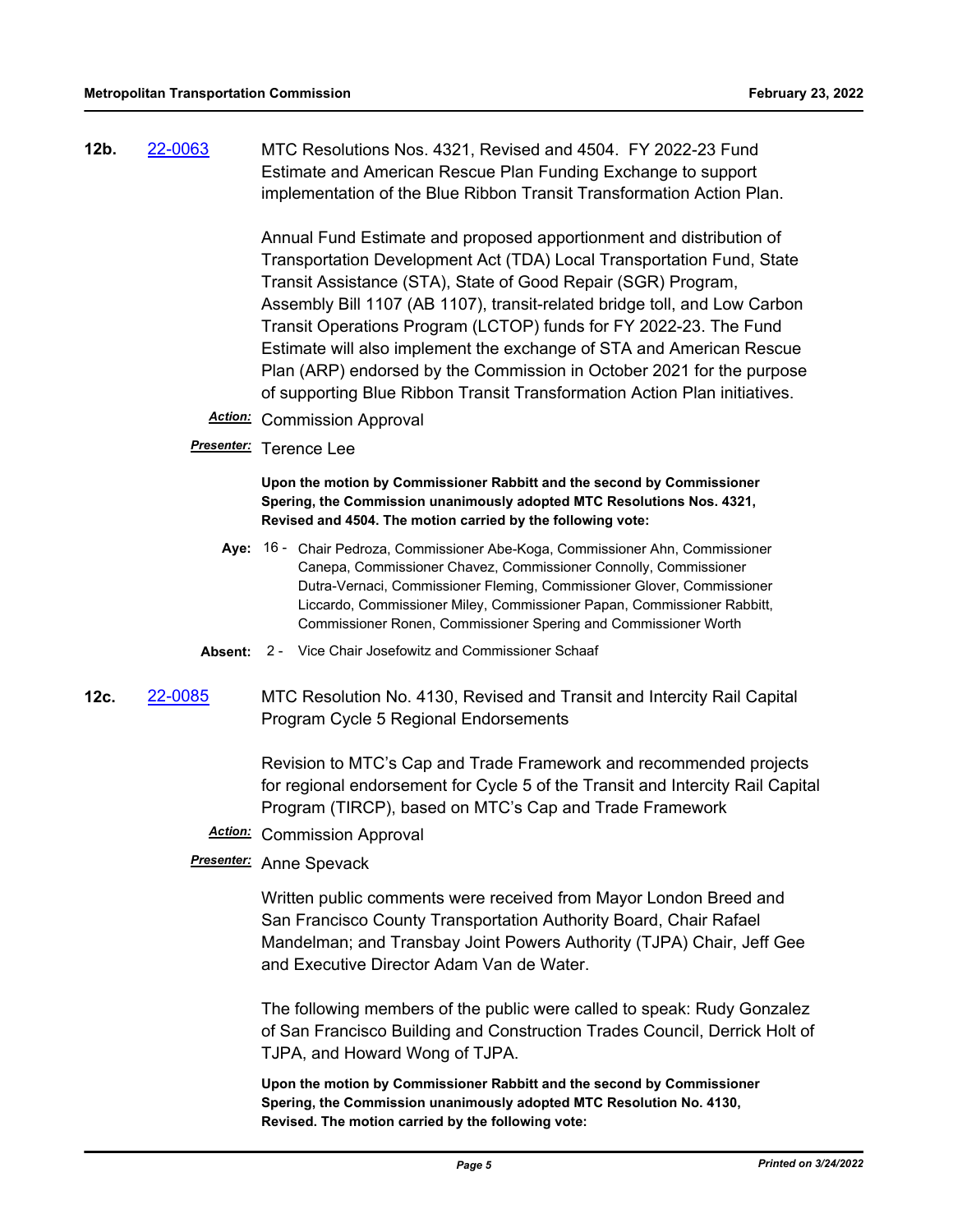**12b.** [22-0063](http://mtc.legistar.com/gateway.aspx?m=l&id=/matter.aspx?key=23322) MTC Resolutions Nos. 4321, Revised and 4504. FY 2022-23 Fund Estimate and American Rescue Plan Funding Exchange to support implementation of the Blue Ribbon Transit Transformation Action Plan.

> Annual Fund Estimate and proposed apportionment and distribution of Transportation Development Act (TDA) Local Transportation Fund, State Transit Assistance (STA), State of Good Repair (SGR) Program, Assembly Bill 1107 (AB 1107), transit-related bridge toll, and Low Carbon Transit Operations Program (LCTOP) funds for FY 2022-23. The Fund Estimate will also implement the exchange of STA and American Rescue Plan (ARP) endorsed by the Commission in October 2021 for the purpose of supporting Blue Ribbon Transit Transformation Action Plan initiatives.

- *Action:* Commission Approval
- *Presenter:* Terence Lee

**Upon the motion by Commissioner Rabbitt and the second by Commissioner Spering, the Commission unanimously adopted MTC Resolutions Nos. 4321, Revised and 4504. The motion carried by the following vote:**

- Aye: 16 Chair Pedroza, Commissioner Abe-Koga, Commissioner Ahn, Commissioner Canepa, Commissioner Chavez, Commissioner Connolly, Commissioner Dutra-Vernaci, Commissioner Fleming, Commissioner Glover, Commissioner Liccardo, Commissioner Miley, Commissioner Papan, Commissioner Rabbitt, Commissioner Ronen, Commissioner Spering and Commissioner Worth
- **Absent:** 2 Vice Chair Josefowitz and Commissioner Schaaf
- **12c.** [22-0085](http://mtc.legistar.com/gateway.aspx?m=l&id=/matter.aspx?key=23344) MTC Resolution No. 4130, Revised and Transit and Intercity Rail Capital Program Cycle 5 Regional Endorsements

Revision to MTC's Cap and Trade Framework and recommended projects for regional endorsement for Cycle 5 of the Transit and Intercity Rail Capital Program (TIRCP), based on MTC's Cap and Trade Framework

*Action:* Commission Approval

### *Presenter:* Anne Spevack

Written public comments were received from Mayor London Breed and San Francisco County Transportation Authority Board, Chair Rafael Mandelman; and Transbay Joint Powers Authority (TJPA) Chair, Jeff Gee and Executive Director Adam Van de Water.

The following members of the public were called to speak: Rudy Gonzalez of San Francisco Building and Construction Trades Council, Derrick Holt of TJPA, and Howard Wong of TJPA.

**Upon the motion by Commissioner Rabbitt and the second by Commissioner Spering, the Commission unanimously adopted MTC Resolution No. 4130, Revised. The motion carried by the following vote:**